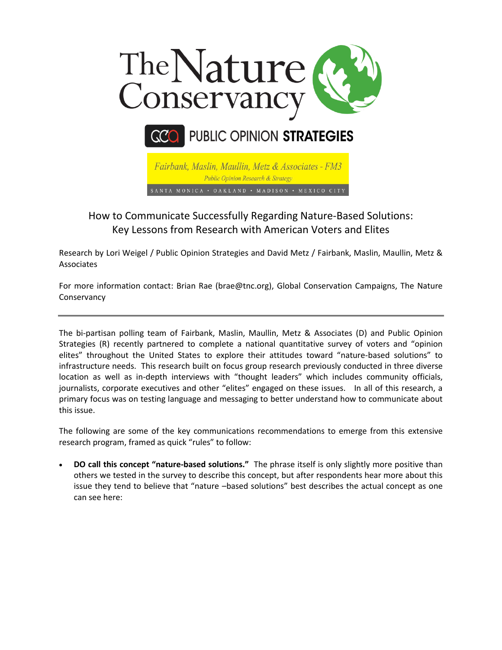



Fairbank, Maslin, Maullin, Metz & Associates - FM3 Public Opinion Research & Strategy SANTA MONICA • OAKLAND • MADISON • MEXICO CITY

## How to Communicate Successfully Regarding Nature-Based Solutions: Key Lessons from Research with American Voters and Elites

Research by Lori Weigel / Public Opinion Strategies and David Metz / Fairbank, Maslin, Maullin, Metz & Associates

For more information contact: Brian Rae (brae@tnc.org), Global Conservation Campaigns, The Nature **Conservancy** 

The bi-partisan polling team of Fairbank, Maslin, Maullin, Metz & Associates (D) and Public Opinion Strategies (R) recently partnered to complete a national quantitative survey of voters and "opinion elites" throughout the United States to explore their attitudes toward "nature-based solutions" to infrastructure needs. This research built on focus group research previously conducted in three diverse location as well as in-depth interviews with "thought leaders" which includes community officials, journalists, corporate executives and other "elites" engaged on these issues. In all of this research, a primary focus was on testing language and messaging to better understand how to communicate about this issue.

The following are some of the key communications recommendations to emerge from this extensive research program, framed as quick "rules" to follow:

 **DO call this concept "nature-based solutions."** The phrase itself is only slightly more positive than others we tested in the survey to describe this concept, but after respondents hear more about this issue they tend to believe that "nature –based solutions" best describes the actual concept as one can see here: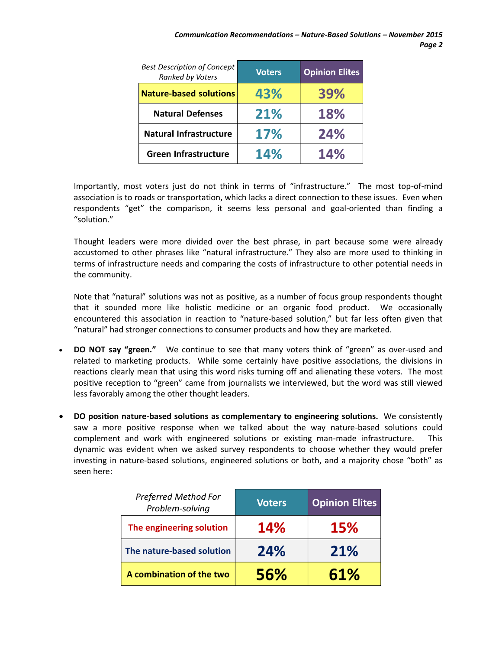| <b>Best Description of Concept</b><br><b>Ranked by Voters</b> | <b>Voters</b> | <b>Opinion Elites</b> |
|---------------------------------------------------------------|---------------|-----------------------|
| <b>Nature-based solutions</b>                                 | 43%           | 39%                   |
| <b>Natural Defenses</b>                                       | 21%           | 18%                   |
| Natural Infrastructure                                        | 17%           | 24%                   |
| <b>Green Infrastructure</b>                                   | <b>14%</b>    | <b>14%</b>            |

Importantly, most voters just do not think in terms of "infrastructure." The most top-of-mind association is to roads or transportation, which lacks a direct connection to these issues. Even when respondents "get" the comparison, it seems less personal and goal-oriented than finding a "solution."

Thought leaders were more divided over the best phrase, in part because some were already accustomed to other phrases like "natural infrastructure." They also are more used to thinking in terms of infrastructure needs and comparing the costs of infrastructure to other potential needs in the community.

Note that "natural" solutions was not as positive, as a number of focus group respondents thought that it sounded more like holistic medicine or an organic food product. We occasionally encountered this association in reaction to "nature-based solution," but far less often given that "natural" had stronger connections to consumer products and how they are marketed.

- **DO NOT say "green."** We continue to see that many voters think of "green" as over-used and related to marketing products. While some certainly have positive associations, the divisions in reactions clearly mean that using this word risks turning off and alienating these voters. The most positive reception to "green" came from journalists we interviewed, but the word was still viewed less favorably among the other thought leaders.
- **DO position nature-based solutions as complementary to engineering solutions.** We consistently saw a more positive response when we talked about the way nature-based solutions could complement and work with engineered solutions or existing man-made infrastructure. This dynamic was evident when we asked survey respondents to choose whether they would prefer investing in nature-based solutions, engineered solutions or both, and a majority chose "both" as seen here:

| <b>Preferred Method For</b><br>Problem-solving | <b>Voters</b> | <b>Opinion Elites</b> |
|------------------------------------------------|---------------|-----------------------|
| The engineering solution                       | <b>14%</b>    | <b>15%</b>            |
| The nature-based solution                      | 24%           | 21%                   |
| A combination of the two                       | 56%           | 61%                   |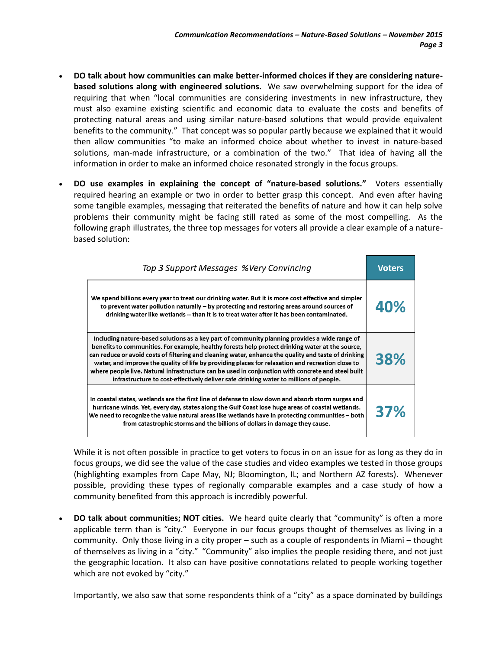- **DO talk about how communities can make better-informed choices if they are considering naturebased solutions along with engineered solutions.** We saw overwhelming support for the idea of requiring that when "local communities are considering investments in new infrastructure, they must also examine existing scientific and economic data to evaluate the costs and benefits of protecting natural areas and using similar nature-based solutions that would provide equivalent benefits to the community." That concept was so popular partly because we explained that it would then allow communities "to make an informed choice about whether to invest in nature-based solutions, man-made infrastructure, or a combination of the two." That idea of having all the information in order to make an informed choice resonated strongly in the focus groups.
- **DO use examples in explaining the concept of "nature-based solutions."** Voters essentially required hearing an example or two in order to better grasp this concept. And even after having some tangible examples, messaging that reiterated the benefits of nature and how it can help solve problems their community might be facing still rated as some of the most compelling. As the following graph illustrates, the three top messages for voters all provide a clear example of a naturebased solution:

| Top 3 Support Messages %Very Convincing                                                                                                                                                                                                                                                                                                                                                                                                                                                                                                                                                                       |     |  |
|---------------------------------------------------------------------------------------------------------------------------------------------------------------------------------------------------------------------------------------------------------------------------------------------------------------------------------------------------------------------------------------------------------------------------------------------------------------------------------------------------------------------------------------------------------------------------------------------------------------|-----|--|
| We spend billions every year to treat our drinking water. But it is more cost effective and simpler<br>to prevent water pollution naturally – by protecting and restoring areas around sources of<br>drinking water like wetlands -- than it is to treat water after it has been contaminated.                                                                                                                                                                                                                                                                                                                | 40% |  |
| Including nature-based solutions as a key part of community planning provides a wide range of<br>benefits to communities. For example, healthy forests help protect drinking water at the source,<br>can reduce or avoid costs of filtering and cleaning water, enhance the quality and taste of drinking<br>water, and improve the quality of life by providing places for relaxation and recreation close to<br>where people live. Natural infrastructure can be used in conjunction with concrete and steel built<br>infrastructure to cost-effectively deliver safe drinking water to millions of people. |     |  |
| In coastal states, wetlands are the first line of defense to slow down and absorb storm surges and<br>hurricane winds. Yet, every day, states along the Gulf Coast lose huge areas of coastal wetlands.<br>We need to recognize the value natural areas like wetlands have in protecting communities - both<br>from catastrophic storms and the billions of dollars in damage they cause.                                                                                                                                                                                                                     | 37% |  |

While it is not often possible in practice to get voters to focus in on an issue for as long as they do in focus groups, we did see the value of the case studies and video examples we tested in those groups (highlighting examples from Cape May, NJ; Bloomington, IL; and Northern AZ forests). Whenever possible, providing these types of regionally comparable examples and a case study of how a community benefited from this approach is incredibly powerful.

 **DO talk about communities; NOT cities.** We heard quite clearly that "community" is often a more applicable term than is "city." Everyone in our focus groups thought of themselves as living in a community. Only those living in a city proper – such as a couple of respondents in Miami – thought of themselves as living in a "city." "Community" also implies the people residing there, and not just the geographic location. It also can have positive connotations related to people working together which are not evoked by "city."

Importantly, we also saw that some respondents think of a "city" as a space dominated by buildings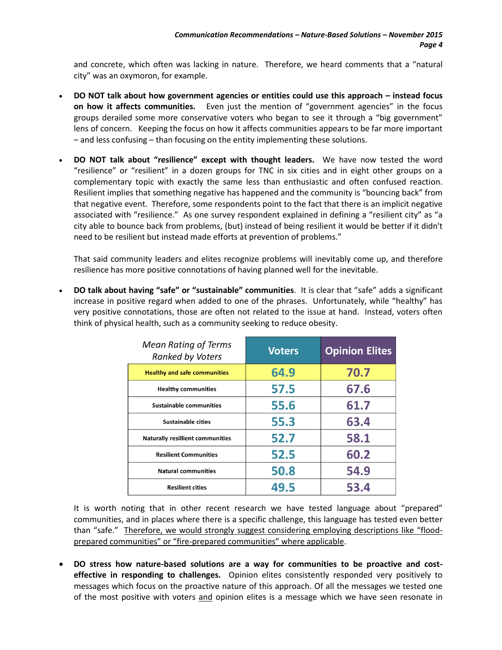and concrete, which often was lacking in nature. Therefore, we heard comments that a "natural city" was an oxymoron, for example.

- **DO NOT talk about how government agencies or entities could use this approach – instead focus on how it affects communities.** Even just the mention of "government agencies" in the focus groups derailed some more conservative voters who began to see it through a "big government" lens of concern. Keeping the focus on how it affects communities appears to be far more important – and less confusing – than focusing on the entity implementing these solutions.
- **DO NOT talk about "resilience" except with thought leaders.** We have now tested the word "resilience" or "resilient" in a dozen groups for TNC in six cities and in eight other groups on a complementary topic with exactly the same less than enthusiastic and often confused reaction. Resilient implies that something negative has happened and the community is "bouncing back" from that negative event. Therefore, some respondents point to the fact that there is an implicit negative associated with "resilience." As one survey respondent explained in defining a "resilient city" as "a city able to bounce back from problems, (but) instead of being resilient it would be better if it didn't need to be resilient but instead made efforts at prevention of problems."

That said community leaders and elites recognize problems will inevitably come up, and therefore resilience has more positive connotations of having planned well for the inevitable.

 **DO talk about having "safe" or "sustainable" communities**. It is clear that "safe" adds a significant increase in positive regard when added to one of the phrases. Unfortunately, while "healthy" has very positive connotations, those are often not related to the issue at hand. Instead, voters often think of physical health, such as a community seeking to reduce obesity.

| <b>Mean Rating of Terms</b><br><b>Ranked by Voters</b> | <b>Voters</b> | <b>Opinion Elites</b> |
|--------------------------------------------------------|---------------|-----------------------|
| <b>Healthy and safe communities</b>                    | 64.9          | 70.7                  |
| <b>Healthy communities</b>                             | 57.5          | 67.6                  |
| Sustainable communities                                | 55.6          | 61.7                  |
| <b>Sustainable cities</b>                              | 55.3          | 63.4                  |
| <b>Naturally resillient communities</b>                | 52.7          | 58.1                  |
| <b>Resilient Communities</b>                           | 52.5          | 60.2                  |
| <b>Natural communities</b>                             | 50.8          | 54.9                  |
| <b>Resilient cities</b>                                | 49.5          | 53.4                  |

It is worth noting that in other recent research we have tested language about "prepared" communities, and in places where there is a specific challenge, this language has tested even better than "safe." Therefore, we would strongly suggest considering employing descriptions like "floodprepared communities" or "fire-prepared communities" where applicable.

 **DO stress how nature-based solutions are a way for communities to be proactive and costeffective in responding to challenges.** Opinion elites consistently responded very positively to messages which focus on the proactive nature of this approach. Of all the messages we tested one of the most positive with voters and opinion elites is a message which we have seen resonate in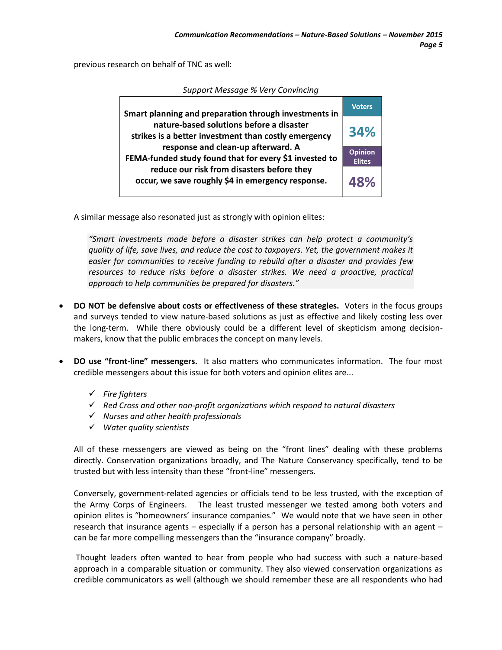previous research on behalf of TNC as well:

| Smart planning and preparation through investments in                                                                                                                                                                                                                                               | <b>Voters</b>                   |  |
|-----------------------------------------------------------------------------------------------------------------------------------------------------------------------------------------------------------------------------------------------------------------------------------------------------|---------------------------------|--|
| nature-based solutions before a disaster<br>strikes is a better investment than costly emergency<br>response and clean-up afterward. A<br>FEMA-funded study found that for every \$1 invested to<br>reduce our risk from disasters before they<br>occur, we save roughly \$4 in emergency response. | 34%                             |  |
|                                                                                                                                                                                                                                                                                                     | <b>Opinion</b><br><b>Elites</b> |  |
|                                                                                                                                                                                                                                                                                                     |                                 |  |

Sunnort Message % Very Convincina

A similar message also resonated just as strongly with opinion elites:

*"Smart investments made before a disaster strikes can help protect a community's quality of life, save lives, and reduce the cost to taxpayers. Yet, the government makes it easier for communities to receive funding to rebuild after a disaster and provides few resources to reduce risks before a disaster strikes. We need a proactive, practical approach to help communities be prepared for disasters."*

- **DO NOT be defensive about costs or effectiveness of these strategies.** Voters in the focus groups and surveys tended to view nature-based solutions as just as effective and likely costing less over the long-term. While there obviously could be a different level of skepticism among decisionmakers, know that the public embraces the concept on many levels.
- **DO use "front-line" messengers.** It also matters who communicates information. The four most credible messengers about this issue for both voters and opinion elites are...
	- *Fire fighters*
	- *Red Cross and other non‐profit organizations which respond to natural disasters*
	- *Nurses and other health professionals*
	- *Water quality scientists*

All of these messengers are viewed as being on the "front lines" dealing with these problems directly. Conservation organizations broadly, and The Nature Conservancy specifically, tend to be trusted but with less intensity than these "front-line" messengers.

Conversely, government-related agencies or officials tend to be less trusted, with the exception of the Army Corps of Engineers. The least trusted messenger we tested among both voters and opinion elites is "homeowners' insurance companies." We would note that we have seen in other research that insurance agents – especially if a person has a personal relationship with an agent – can be far more compelling messengers than the "insurance company" broadly.

Thought leaders often wanted to hear from people who had success with such a nature-based approach in a comparable situation or community. They also viewed conservation organizations as credible communicators as well (although we should remember these are all respondents who had